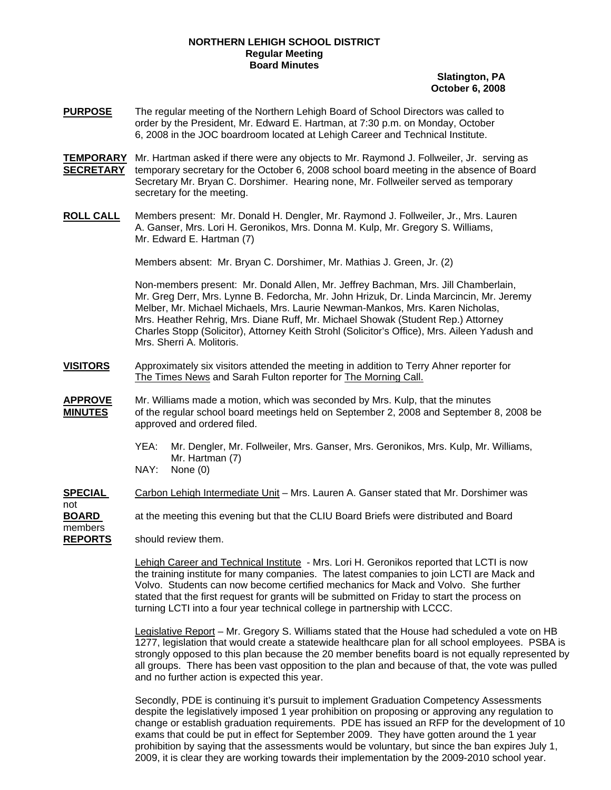## **NORTHERN LEHIGH SCHOOL DISTRICT Regular Meeting Board Minutes**

## **Slatington, PA October 6, 2008**

- **PURPOSE** The regular meeting of the Northern Lehigh Board of School Directors was called to order by the President, Mr. Edward E. Hartman, at 7:30 p.m. on Monday, October 6, 2008 in the JOC boardroom located at Lehigh Career and Technical Institute.
- **TEMPORARY** Mr. Hartman asked if there were any objects to Mr. Raymond J. Follweiler, Jr. serving as **SECRETARY** temporary secretary for the October 6, 2008 school board meeting in the absence of Board Secretary Mr. Bryan C. Dorshimer. Hearing none, Mr. Follweiler served as temporary secretary for the meeting.
- **ROLL CALL** Members present: Mr. Donald H. Dengler, Mr. Raymond J. Follweiler, Jr., Mrs. Lauren A. Ganser, Mrs. Lori H. Geronikos, Mrs. Donna M. Kulp, Mr. Gregory S. Williams, Mr. Edward E. Hartman (7)

Members absent: Mr. Bryan C. Dorshimer, Mr. Mathias J. Green, Jr. (2)

Non-members present: Mr. Donald Allen, Mr. Jeffrey Bachman, Mrs. Jill Chamberlain, Mr. Greg Derr, Mrs. Lynne B. Fedorcha, Mr. John Hrizuk, Dr. Linda Marcincin, Mr. Jeremy Melber, Mr. Michael Michaels, Mrs. Laurie Newman-Mankos, Mrs. Karen Nicholas, Mrs. Heather Rehrig, Mrs. Diane Ruff, Mr. Michael Showak (Student Rep.) Attorney Charles Stopp (Solicitor), Attorney Keith Strohl (Solicitor's Office), Mrs. Aileen Yadush and Mrs. Sherri A. Molitoris.

- **VISITORS** Approximately six visitors attended the meeting in addition to Terry Ahner reporter for The Times News and Sarah Fulton reporter for The Morning Call.
- **APPROVE** Mr. Williams made a motion, which was seconded by Mrs. Kulp, that the minutes **MINUTES** of the regular school board meetings held on September 2, 2008 and September 8, 2008 be approved and ordered filed.
	- YEA: Mr. Dengler, Mr. Follweiler, Mrs. Ganser, Mrs. Geronikos, Mrs. Kulp, Mr. Williams, Mr. Hartman (7)
	- NAY: None (0)
- **SPECIAL** Carbon Lehigh Intermediate Unit Mrs. Lauren A. Ganser stated that Mr. Dorshimer was
- **BOARD** at the meeting this evening but that the CLIU Board Briefs were distributed and Board

members

not

**REPORTS** should review them.

Lehigh Career and Technical Institute - Mrs. Lori H. Geronikos reported that LCTI is now the training institute for many companies. The latest companies to join LCTI are Mack and Volvo. Students can now become certified mechanics for Mack and Volvo. She further stated that the first request for grants will be submitted on Friday to start the process on turning LCTI into a four year technical college in partnership with LCCC.

Legislative Report – Mr. Gregory S. Williams stated that the House had scheduled a vote on HB 1277, legislation that would create a statewide healthcare plan for all school employees. PSBA is strongly opposed to this plan because the 20 member benefits board is not equally represented by all groups. There has been vast opposition to the plan and because of that, the vote was pulled and no further action is expected this year.

Secondly, PDE is continuing it's pursuit to implement Graduation Competency Assessments despite the legislatively imposed 1 year prohibition on proposing or approving any regulation to change or establish graduation requirements. PDE has issued an RFP for the development of 10 exams that could be put in effect for September 2009. They have gotten around the 1 year prohibition by saying that the assessments would be voluntary, but since the ban expires July 1, 2009, it is clear they are working towards their implementation by the 2009-2010 school year.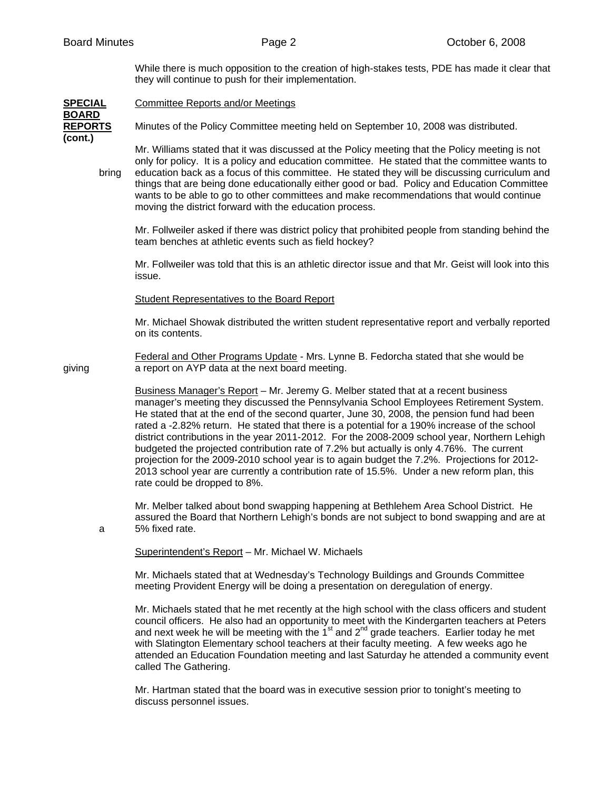While there is much opposition to the creation of high-stakes tests, PDE has made it clear that they will continue to push for their implementation.

| <u>SPECIAL</u>                            | <b>Committee Reports and/or Meetings</b>                                                                                                                                                                                                                                                                                                                                                                                                                                                                                                                                                                                                                                                                                                                                                         |
|-------------------------------------------|--------------------------------------------------------------------------------------------------------------------------------------------------------------------------------------------------------------------------------------------------------------------------------------------------------------------------------------------------------------------------------------------------------------------------------------------------------------------------------------------------------------------------------------------------------------------------------------------------------------------------------------------------------------------------------------------------------------------------------------------------------------------------------------------------|
| <b>BOARD</b><br><b>REPORTS</b><br>(cont.) | Minutes of the Policy Committee meeting held on September 10, 2008 was distributed.                                                                                                                                                                                                                                                                                                                                                                                                                                                                                                                                                                                                                                                                                                              |
| bring                                     | Mr. Williams stated that it was discussed at the Policy meeting that the Policy meeting is not<br>only for policy. It is a policy and education committee. He stated that the committee wants to<br>education back as a focus of this committee. He stated they will be discussing curriculum and<br>things that are being done educationally either good or bad. Policy and Education Committee<br>wants to be able to go to other committees and make recommendations that would continue<br>moving the district forward with the education process.                                                                                                                                                                                                                                           |
|                                           | Mr. Follweiler asked if there was district policy that prohibited people from standing behind the<br>team benches at athletic events such as field hockey?                                                                                                                                                                                                                                                                                                                                                                                                                                                                                                                                                                                                                                       |
|                                           | Mr. Follweiler was told that this is an athletic director issue and that Mr. Geist will look into this<br>issue.                                                                                                                                                                                                                                                                                                                                                                                                                                                                                                                                                                                                                                                                                 |
|                                           | <b>Student Representatives to the Board Report</b>                                                                                                                                                                                                                                                                                                                                                                                                                                                                                                                                                                                                                                                                                                                                               |
|                                           | Mr. Michael Showak distributed the written student representative report and verbally reported<br>on its contents.                                                                                                                                                                                                                                                                                                                                                                                                                                                                                                                                                                                                                                                                               |
| giving                                    | Federal and Other Programs Update - Mrs. Lynne B. Fedorcha stated that she would be<br>a report on AYP data at the next board meeting.                                                                                                                                                                                                                                                                                                                                                                                                                                                                                                                                                                                                                                                           |
|                                           | Business Manager's Report - Mr. Jeremy G. Melber stated that at a recent business<br>manager's meeting they discussed the Pennsylvania School Employees Retirement System.<br>He stated that at the end of the second quarter, June 30, 2008, the pension fund had been<br>rated a -2.82% return. He stated that there is a potential for a 190% increase of the school<br>district contributions in the year 2011-2012. For the 2008-2009 school year, Northern Lehigh<br>budgeted the projected contribution rate of 7.2% but actually is only 4.76%. The current<br>projection for the 2009-2010 school year is to again budget the 7.2%. Projections for 2012-<br>2013 school year are currently a contribution rate of 15.5%. Under a new reform plan, this<br>rate could be dropped to 8%. |
| а                                         | Mr. Melber talked about bond swapping happening at Bethlehem Area School District. He<br>assured the Board that Northern Lehigh's bonds are not subject to bond swapping and are at<br>5% fixed rate.                                                                                                                                                                                                                                                                                                                                                                                                                                                                                                                                                                                            |
|                                           | Superintendent's Report - Mr. Michael W. Michaels                                                                                                                                                                                                                                                                                                                                                                                                                                                                                                                                                                                                                                                                                                                                                |
|                                           | Mr. Michaels stated that at Wednesday's Technology Buildings and Grounds Committee<br>meeting Provident Energy will be doing a presentation on deregulation of energy.                                                                                                                                                                                                                                                                                                                                                                                                                                                                                                                                                                                                                           |
|                                           | Mr. Michaels stated that he met recently at the high school with the class officers and student<br>council officers. He also had an opportunity to meet with the Kindergarten teachers at Peters and next week he will be meeting with the $1st$ and $2nd$ grade teachers. Earlier today he met<br>with Slatington Elementary school teachers at their faculty meeting. A few weeks ago he<br>attended an Education Foundation meeting and last Saturday he attended a community event<br>called The Gathering.                                                                                                                                                                                                                                                                                  |

Mr. Hartman stated that the board was in executive session prior to tonight's meeting to discuss personnel issues.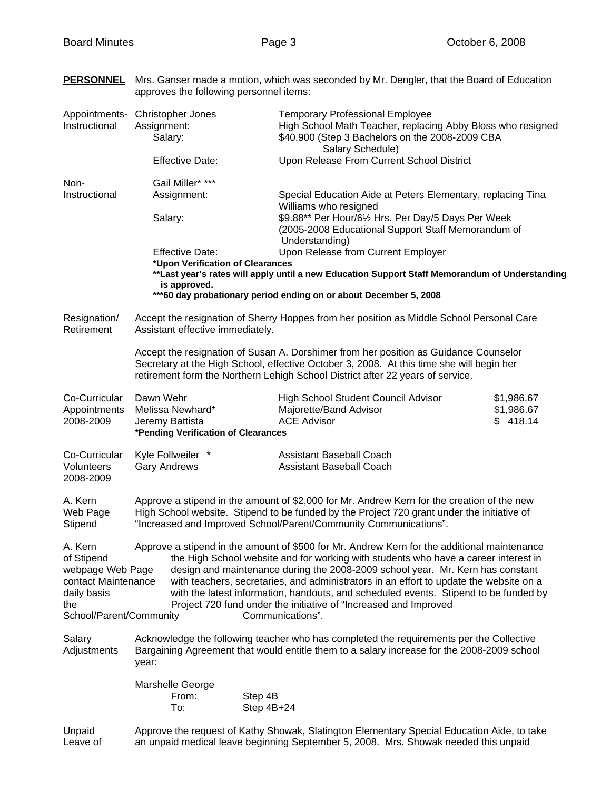**PERSONNEL** Mrs. Ganser made a motion, which was seconded by Mr. Dengler, that the Board of Education

|                                                                                                                   | approves the following personnel items:                                                                                                                                                                                                                            |                                                                                                                                                                                                                                                                                                                                                                                                                                                                                                                                                |                                                                                                                                                          |  |  |
|-------------------------------------------------------------------------------------------------------------------|--------------------------------------------------------------------------------------------------------------------------------------------------------------------------------------------------------------------------------------------------------------------|------------------------------------------------------------------------------------------------------------------------------------------------------------------------------------------------------------------------------------------------------------------------------------------------------------------------------------------------------------------------------------------------------------------------------------------------------------------------------------------------------------------------------------------------|----------------------------------------------------------------------------------------------------------------------------------------------------------|--|--|
| Appointments-<br>Instructional                                                                                    | Christopher Jones<br>Assignment:<br>Salary:                                                                                                                                                                                                                        | Salary Schedule)                                                                                                                                                                                                                                                                                                                                                                                                                                                                                                                               | <b>Temporary Professional Employee</b><br>High School Math Teacher, replacing Abby Bloss who resigned<br>\$40,900 (Step 3 Bachelors on the 2008-2009 CBA |  |  |
|                                                                                                                   | <b>Effective Date:</b>                                                                                                                                                                                                                                             | Upon Release From Current School District                                                                                                                                                                                                                                                                                                                                                                                                                                                                                                      |                                                                                                                                                          |  |  |
| Non-<br>Instructional                                                                                             | Gail Miller* ***<br>Assignment:<br>Salary:                                                                                                                                                                                                                         | Special Education Aide at Peters Elementary, replacing Tina<br>Williams who resigned<br>\$9.88** Per Hour/61/2 Hrs. Per Day/5 Days Per Week<br>(2005-2008 Educational Support Staff Memorandum of<br>Understanding)                                                                                                                                                                                                                                                                                                                            |                                                                                                                                                          |  |  |
|                                                                                                                   | Upon Release from Current Employer<br><b>Effective Date:</b><br>*Upon Verification of Clearances<br>**Last year's rates will apply until a new Education Support Staff Memorandum of Understanding<br>is approved.                                                 |                                                                                                                                                                                                                                                                                                                                                                                                                                                                                                                                                |                                                                                                                                                          |  |  |
|                                                                                                                   |                                                                                                                                                                                                                                                                    | ***60 day probationary period ending on or about December 5, 2008                                                                                                                                                                                                                                                                                                                                                                                                                                                                              |                                                                                                                                                          |  |  |
| Resignation/<br>Retirement                                                                                        | Accept the resignation of Sherry Hoppes from her position as Middle School Personal Care<br>Assistant effective immediately.                                                                                                                                       |                                                                                                                                                                                                                                                                                                                                                                                                                                                                                                                                                |                                                                                                                                                          |  |  |
|                                                                                                                   | Accept the resignation of Susan A. Dorshimer from her position as Guidance Counselor<br>Secretary at the High School, effective October 3, 2008. At this time she will begin her<br>retirement form the Northern Lehigh School District after 22 years of service. |                                                                                                                                                                                                                                                                                                                                                                                                                                                                                                                                                |                                                                                                                                                          |  |  |
| Co-Curricular<br>Appointments<br>2008-2009                                                                        | Dawn Wehr<br>Melissa Newhard*<br>Jeremy Battista<br>*Pending Verification of Clearances                                                                                                                                                                            | High School Student Council Advisor<br>Majorette/Band Advisor<br><b>ACE Advisor</b>                                                                                                                                                                                                                                                                                                                                                                                                                                                            | \$1,986.67<br>\$1,986.67<br>\$418.14                                                                                                                     |  |  |
| Co-Curricular<br>Volunteers<br>2008-2009                                                                          | Kyle Follweiler *<br><b>Gary Andrews</b>                                                                                                                                                                                                                           | <b>Assistant Baseball Coach</b><br><b>Assistant Baseball Coach</b>                                                                                                                                                                                                                                                                                                                                                                                                                                                                             |                                                                                                                                                          |  |  |
| A. Kern<br>Web Page<br>Stipend                                                                                    | Approve a stipend in the amount of \$2,000 for Mr. Andrew Kern for the creation of the new<br>High School website. Stipend to be funded by the Project 720 grant under the initiative of<br>"Increased and Improved School/Parent/Community Communications".       |                                                                                                                                                                                                                                                                                                                                                                                                                                                                                                                                                |                                                                                                                                                          |  |  |
| A. Kern<br>of Stipend<br>webpage Web Page<br>contact Maintenance<br>daily basis<br>the<br>School/Parent/Community |                                                                                                                                                                                                                                                                    | Approve a stipend in the amount of \$500 for Mr. Andrew Kern for the additional maintenance<br>the High School website and for working with students who have a career interest in<br>design and maintenance during the 2008-2009 school year. Mr. Kern has constant<br>with teachers, secretaries, and administrators in an effort to update the website on a<br>with the latest information, handouts, and scheduled events. Stipend to be funded by<br>Project 720 fund under the initiative of "Increased and Improved<br>Communications". |                                                                                                                                                          |  |  |
| Salary<br>Adjustments                                                                                             | year:                                                                                                                                                                                                                                                              | Acknowledge the following teacher who has completed the requirements per the Collective<br>Bargaining Agreement that would entitle them to a salary increase for the 2008-2009 school                                                                                                                                                                                                                                                                                                                                                          |                                                                                                                                                          |  |  |
|                                                                                                                   | Marshelle George<br>From:<br>To:                                                                                                                                                                                                                                   | Step 4B<br>Step 4B+24                                                                                                                                                                                                                                                                                                                                                                                                                                                                                                                          |                                                                                                                                                          |  |  |
| Unpaid                                                                                                            | Approve the request of Kathy Showak, Slatington Elementary Special Education Aide, to take                                                                                                                                                                         |                                                                                                                                                                                                                                                                                                                                                                                                                                                                                                                                                |                                                                                                                                                          |  |  |

Leave of an unpaid medical leave beginning September 5, 2008. Mrs. Showak needed this unpaid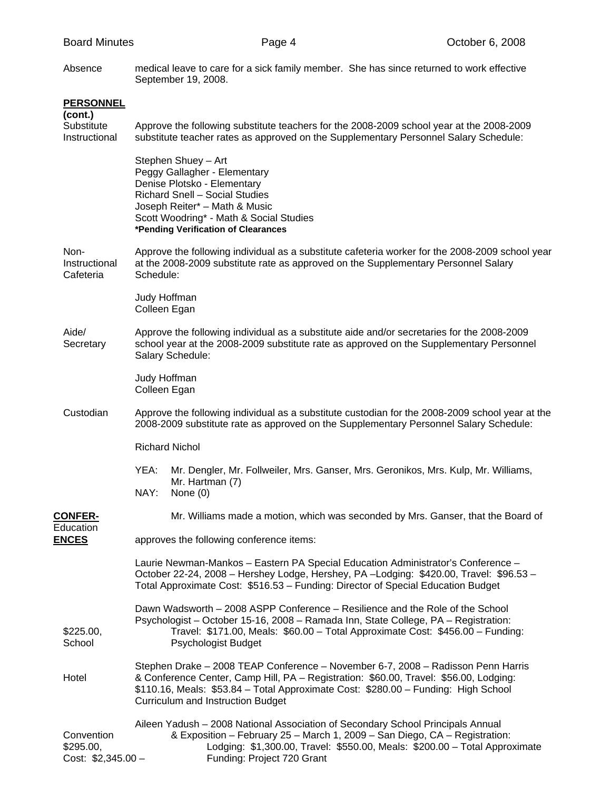Absence medical leave to care for a sick family member. She has since returned to work effective September 19, 2008.

| <b>PERSONNEL</b><br>(cont.)<br>Substitute<br>Instructional | Approve the following substitute teachers for the 2008-2009 school year at the 2008-2009<br>substitute teacher rates as approved on the Supplementary Personnel Salary Schedule:                                                                                                                            |  |  |  |
|------------------------------------------------------------|-------------------------------------------------------------------------------------------------------------------------------------------------------------------------------------------------------------------------------------------------------------------------------------------------------------|--|--|--|
|                                                            | Stephen Shuey - Art<br>Peggy Gallagher - Elementary<br>Denise Plotsko - Elementary<br>Richard Snell - Social Studies<br>Joseph Reiter* - Math & Music<br>Scott Woodring* - Math & Social Studies<br>*Pending Verification of Clearances                                                                     |  |  |  |
| Non-<br>Instructional<br>Cafeteria                         | Approve the following individual as a substitute cafeteria worker for the 2008-2009 school year<br>at the 2008-2009 substitute rate as approved on the Supplementary Personnel Salary<br>Schedule:                                                                                                          |  |  |  |
|                                                            | Judy Hoffman<br>Colleen Egan                                                                                                                                                                                                                                                                                |  |  |  |
| Aide/<br>Secretary                                         | Approve the following individual as a substitute aide and/or secretaries for the 2008-2009<br>school year at the 2008-2009 substitute rate as approved on the Supplementary Personnel<br>Salary Schedule:                                                                                                   |  |  |  |
|                                                            | Judy Hoffman<br>Colleen Egan                                                                                                                                                                                                                                                                                |  |  |  |
| Custodian                                                  | Approve the following individual as a substitute custodian for the 2008-2009 school year at the<br>2008-2009 substitute rate as approved on the Supplementary Personnel Salary Schedule:                                                                                                                    |  |  |  |
|                                                            | <b>Richard Nichol</b>                                                                                                                                                                                                                                                                                       |  |  |  |
|                                                            | YEA:<br>Mr. Dengler, Mr. Follweiler, Mrs. Ganser, Mrs. Geronikos, Mrs. Kulp, Mr. Williams,<br>Mr. Hartman (7)<br>NAY:<br>None $(0)$                                                                                                                                                                         |  |  |  |
| <b>CONFER-</b>                                             | Mr. Williams made a motion, which was seconded by Mrs. Ganser, that the Board of                                                                                                                                                                                                                            |  |  |  |
| Education<br><b>ENCES</b>                                  | approves the following conference items:                                                                                                                                                                                                                                                                    |  |  |  |
|                                                            | Laurie Newman-Mankos - Eastern PA Special Education Administrator's Conference -<br>October 22-24, 2008 - Hershey Lodge, Hershey, PA - Lodging: \$420.00, Travel: \$96.53 -<br>Total Approximate Cost: \$516.53 - Funding: Director of Special Education Budget                                             |  |  |  |
| \$225.00,<br>School                                        | Dawn Wadsworth - 2008 ASPP Conference - Resilience and the Role of the School<br>Psychologist - October 15-16, 2008 - Ramada Inn, State College, PA - Registration:<br>Travel: \$171.00, Meals: \$60.00 - Total Approximate Cost: \$456.00 - Funding:<br>Psychologist Budget                                |  |  |  |
| Hotel                                                      | Stephen Drake - 2008 TEAP Conference - November 6-7, 2008 - Radisson Penn Harris<br>& Conference Center, Camp Hill, PA - Registration: \$60.00, Travel: \$56.00, Lodging:<br>\$110.16, Meals: \$53.84 - Total Approximate Cost: \$280.00 - Funding: High School<br><b>Curriculum and Instruction Budget</b> |  |  |  |
| Convention<br>\$295.00,<br>Cost: $$2,345.00 -$             | Aileen Yadush - 2008 National Association of Secondary School Principals Annual<br>& Exposition - February 25 - March 1, 2009 - San Diego, CA - Registration:<br>Lodging: \$1,300.00, Travel: \$550.00, Meals: \$200.00 - Total Approximate<br>Funding: Project 720 Grant                                   |  |  |  |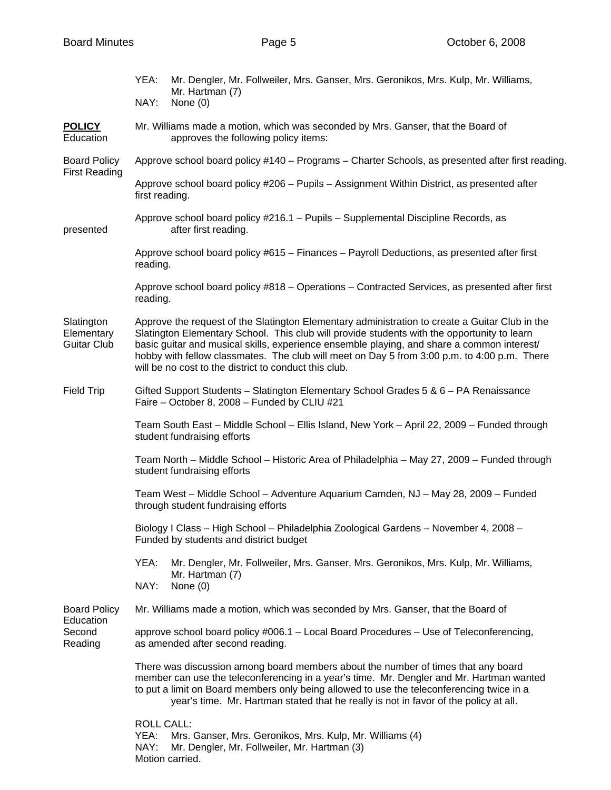|                                                | YEA:<br>NAY:                                                                                                                                                                                                                                                                                                                                                                                                                                        | Mr. Dengler, Mr. Follweiler, Mrs. Ganser, Mrs. Geronikos, Mrs. Kulp, Mr. Williams,<br>Mr. Hartman (7)<br>None (0)           |  |  |  |
|------------------------------------------------|-----------------------------------------------------------------------------------------------------------------------------------------------------------------------------------------------------------------------------------------------------------------------------------------------------------------------------------------------------------------------------------------------------------------------------------------------------|-----------------------------------------------------------------------------------------------------------------------------|--|--|--|
| <b>POLICY</b><br>Education                     |                                                                                                                                                                                                                                                                                                                                                                                                                                                     | Mr. Williams made a motion, which was seconded by Mrs. Ganser, that the Board of<br>approves the following policy items:    |  |  |  |
| <b>Board Policy</b><br><b>First Reading</b>    |                                                                                                                                                                                                                                                                                                                                                                                                                                                     | Approve school board policy #140 – Programs – Charter Schools, as presented after first reading.                            |  |  |  |
|                                                | Approve school board policy #206 - Pupils - Assignment Within District, as presented after<br>first reading.                                                                                                                                                                                                                                                                                                                                        |                                                                                                                             |  |  |  |
| presented                                      |                                                                                                                                                                                                                                                                                                                                                                                                                                                     | Approve school board policy #216.1 - Pupils - Supplemental Discipline Records, as<br>after first reading.                   |  |  |  |
|                                                | Approve school board policy #615 - Finances - Payroll Deductions, as presented after first<br>reading.                                                                                                                                                                                                                                                                                                                                              |                                                                                                                             |  |  |  |
|                                                | Approve school board policy #818 - Operations - Contracted Services, as presented after first<br>reading.                                                                                                                                                                                                                                                                                                                                           |                                                                                                                             |  |  |  |
| Slatington<br>Elementary<br><b>Guitar Club</b> | Approve the request of the Slatington Elementary administration to create a Guitar Club in the<br>Slatington Elementary School. This club will provide students with the opportunity to learn<br>basic guitar and musical skills, experience ensemble playing, and share a common interest/<br>hobby with fellow classmates. The club will meet on Day 5 from 3:00 p.m. to 4:00 p.m. There<br>will be no cost to the district to conduct this club. |                                                                                                                             |  |  |  |
| <b>Field Trip</b>                              | Gifted Support Students - Slatington Elementary School Grades 5 & 6 - PA Renaissance<br>Faire – October 8, 2008 – Funded by CLIU #21                                                                                                                                                                                                                                                                                                                |                                                                                                                             |  |  |  |
|                                                | Team South East - Middle School - Ellis Island, New York - April 22, 2009 - Funded through<br>student fundraising efforts                                                                                                                                                                                                                                                                                                                           |                                                                                                                             |  |  |  |
|                                                | Team North – Middle School – Historic Area of Philadelphia – May 27, 2009 – Funded through<br>student fundraising efforts                                                                                                                                                                                                                                                                                                                           |                                                                                                                             |  |  |  |
|                                                | Team West - Middle School - Adventure Aquarium Camden, NJ - May 28, 2009 - Funded<br>through student fundraising efforts                                                                                                                                                                                                                                                                                                                            |                                                                                                                             |  |  |  |
|                                                | Biology I Class - High School - Philadelphia Zoological Gardens - November 4, 2008 -<br>Funded by students and district budget                                                                                                                                                                                                                                                                                                                      |                                                                                                                             |  |  |  |
|                                                | YEA:<br>NAY:                                                                                                                                                                                                                                                                                                                                                                                                                                        | Mr. Dengler, Mr. Follweiler, Mrs. Ganser, Mrs. Geronikos, Mrs. Kulp, Mr. Williams,<br>Mr. Hartman (7)<br>None $(0)$         |  |  |  |
| <b>Board Policy</b>                            | Mr. Williams made a motion, which was seconded by Mrs. Ganser, that the Board of                                                                                                                                                                                                                                                                                                                                                                    |                                                                                                                             |  |  |  |
| Education<br>Second<br>Reading                 | approve school board policy #006.1 - Local Board Procedures - Use of Teleconferencing,<br>as amended after second reading.                                                                                                                                                                                                                                                                                                                          |                                                                                                                             |  |  |  |
|                                                | There was discussion among board members about the number of times that any board<br>member can use the teleconferencing in a year's time. Mr. Dengler and Mr. Hartman wanted<br>to put a limit on Board members only being allowed to use the teleconferencing twice in a<br>year's time. Mr. Hartman stated that he really is not in favor of the policy at all.                                                                                  |                                                                                                                             |  |  |  |
|                                                | <b>ROLL CALL:</b><br>YEA:<br>NAY:                                                                                                                                                                                                                                                                                                                                                                                                                   | Mrs. Ganser, Mrs. Geronikos, Mrs. Kulp, Mr. Williams (4)<br>Mr. Dengler, Mr. Follweiler, Mr. Hartman (3)<br>Motion carried. |  |  |  |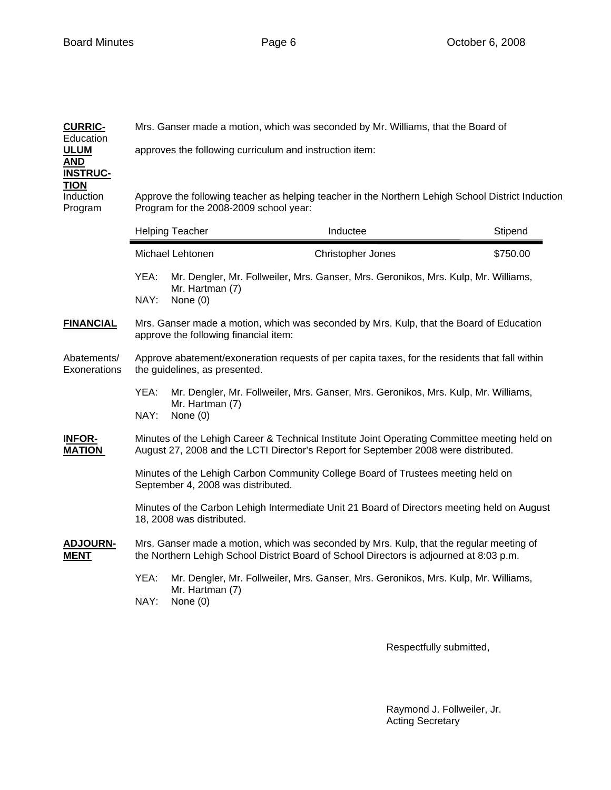| <b>CURRIC-</b><br>Education    | Mrs. Ganser made a motion, which was seconded by Mr. Williams, that the Board of                                                                                                    |                               |                                                                                    |          |  |  |  |  |
|--------------------------------|-------------------------------------------------------------------------------------------------------------------------------------------------------------------------------------|-------------------------------|------------------------------------------------------------------------------------|----------|--|--|--|--|
| <u>ULUM</u><br>AND             | approves the following curriculum and instruction item:                                                                                                                             |                               |                                                                                    |          |  |  |  |  |
| <b>INSTRUC-</b><br><b>TION</b> |                                                                                                                                                                                     |                               |                                                                                    |          |  |  |  |  |
| Induction<br>Program           | Approve the following teacher as helping teacher in the Northern Lehigh School District Induction<br>Program for the 2008-2009 school year:                                         |                               |                                                                                    |          |  |  |  |  |
|                                |                                                                                                                                                                                     | <b>Helping Teacher</b>        | Inductee                                                                           | Stipend  |  |  |  |  |
|                                |                                                                                                                                                                                     | Michael Lehtonen              | Christopher Jones                                                                  | \$750.00 |  |  |  |  |
|                                | YEA:                                                                                                                                                                                | Mr. Hartman (7)               | Mr. Dengler, Mr. Follweiler, Mrs. Ganser, Mrs. Geronikos, Mrs. Kulp, Mr. Williams, |          |  |  |  |  |
|                                | NAY:                                                                                                                                                                                | None $(0)$                    |                                                                                    |          |  |  |  |  |
| <b>FINANCIAL</b>               | Mrs. Ganser made a motion, which was seconded by Mrs. Kulp, that the Board of Education<br>approve the following financial item:                                                    |                               |                                                                                    |          |  |  |  |  |
| Abatements/<br>Exonerations    | Approve abatement/exoneration requests of per capita taxes, for the residents that fall within<br>the guidelines, as presented.                                                     |                               |                                                                                    |          |  |  |  |  |
|                                | YEA:<br>Mr. Dengler, Mr. Follweiler, Mrs. Ganser, Mrs. Geronikos, Mrs. Kulp, Mr. Williams,<br>Mr. Hartman (7)<br>NAY:<br>None $(0)$                                                 |                               |                                                                                    |          |  |  |  |  |
| <b>INFOR-</b><br><b>MATION</b> | Minutes of the Lehigh Career & Technical Institute Joint Operating Committee meeting held on<br>August 27, 2008 and the LCTI Director's Report for September 2008 were distributed. |                               |                                                                                    |          |  |  |  |  |
|                                | Minutes of the Lehigh Carbon Community College Board of Trustees meeting held on<br>September 4, 2008 was distributed.                                                              |                               |                                                                                    |          |  |  |  |  |
|                                | Minutes of the Carbon Lehigh Intermediate Unit 21 Board of Directors meeting held on August<br>18, 2008 was distributed.                                                            |                               |                                                                                    |          |  |  |  |  |
| ADJOURN-<br><b>MENT</b>        | Mrs. Ganser made a motion, which was seconded by Mrs. Kulp, that the regular meeting of<br>the Northern Lehigh School District Board of School Directors is adjourned at 8:03 p.m.  |                               |                                                                                    |          |  |  |  |  |
|                                | YEA:<br>NAY:                                                                                                                                                                        | Mr. Hartman (7)<br>None $(0)$ | Mr. Dengler, Mr. Follweiler, Mrs. Ganser, Mrs. Geronikos, Mrs. Kulp, Mr. Williams, |          |  |  |  |  |
|                                |                                                                                                                                                                                     |                               |                                                                                    |          |  |  |  |  |

Respectfully submitted,

 Raymond J. Follweiler, Jr. Acting Secretary